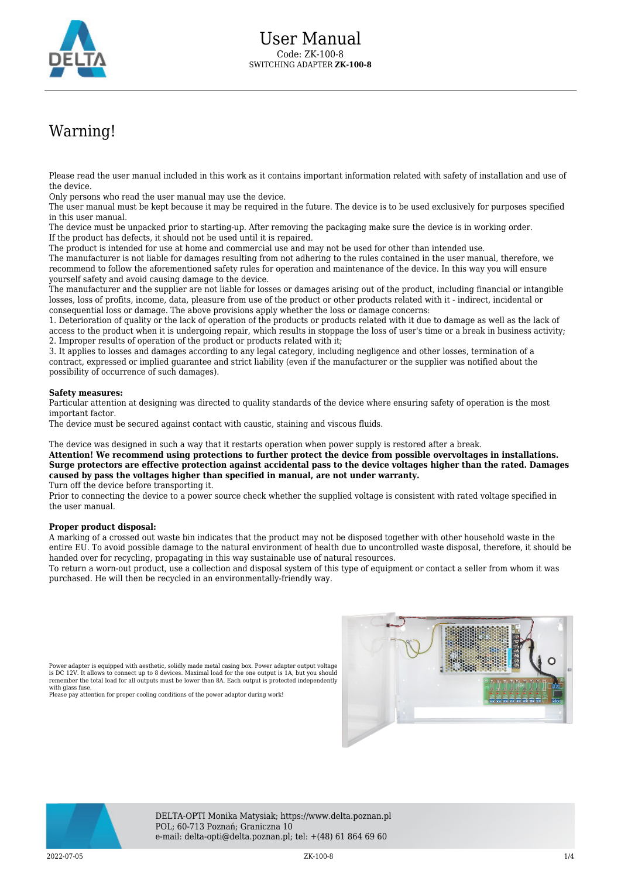

# Warning!

Please read the user manual included in this work as it contains important information related with safety of installation and use of the device.

Only persons who read the user manual may use the device.

The user manual must be kept because it may be required in the future. The device is to be used exclusively for purposes specified in this user manual.

The device must be unpacked prior to starting-up. After removing the packaging make sure the device is in working order. If the product has defects, it should not be used until it is repaired.

The product is intended for use at home and commercial use and may not be used for other than intended use.

The manufacturer is not liable for damages resulting from not adhering to the rules contained in the user manual, therefore, we recommend to follow the aforementioned safety rules for operation and maintenance of the device. In this way you will ensure yourself safety and avoid causing damage to the device.

The manufacturer and the supplier are not liable for losses or damages arising out of the product, including financial or intangible losses, loss of profits, income, data, pleasure from use of the product or other products related with it - indirect, incidental or consequential loss or damage. The above provisions apply whether the loss or damage concerns:

1. Deterioration of quality or the lack of operation of the products or products related with it due to damage as well as the lack of access to the product when it is undergoing repair, which results in stoppage the loss of user's time or a break in business activity; 2. Improper results of operation of the product or products related with it;

3. It applies to losses and damages according to any legal category, including negligence and other losses, termination of a contract, expressed or implied guarantee and strict liability (even if the manufacturer or the supplier was notified about the possibility of occurrence of such damages).

#### **Safety measures:**

Particular attention at designing was directed to quality standards of the device where ensuring safety of operation is the most important factor.

The device must be secured against contact with caustic, staining and viscous fluids.

The device was designed in such a way that it restarts operation when power supply is restored after a break.

**Attention! We recommend using protections to further protect the device from possible overvoltages in installations. Surge protectors are effective protection against accidental pass to the device voltages higher than the rated. Damages caused by pass the voltages higher than specified in manual, are not under warranty.**

Turn off the device before transporting it.

Prior to connecting the device to a power source check whether the supplied voltage is consistent with rated voltage specified in the user manual.

#### **Proper product disposal:**

A marking of a crossed out waste bin indicates that the product may not be disposed together with other household waste in the entire EU. To avoid possible damage to the natural environment of health due to uncontrolled waste disposal, therefore, it should be handed over for recycling, propagating in this way sustainable use of natural resources.

To return a worn-out product, use a collection and disposal system of this type of equipment or contact a seller from whom it was purchased. He will then be recycled in an environmentally-friendly way.

Power adapter is equipped with aesthetic, solidly made metal casing box. Power adapter output voltage<br>is DC 12V. It allows to connect up to 8 devices. Maximal load for the one output is 1A, but you should<br>remember the tota with glass fuse

Please pay attention for proper cooling conditions of the power adaptor during work!





DELTA-OPTI Monika Matysiak; https://www.delta.poznan.pl POL; 60-713 Poznań; Graniczna 10 e-mail: delta-opti@delta.poznan.pl; tel: +(48) 61 864 69 60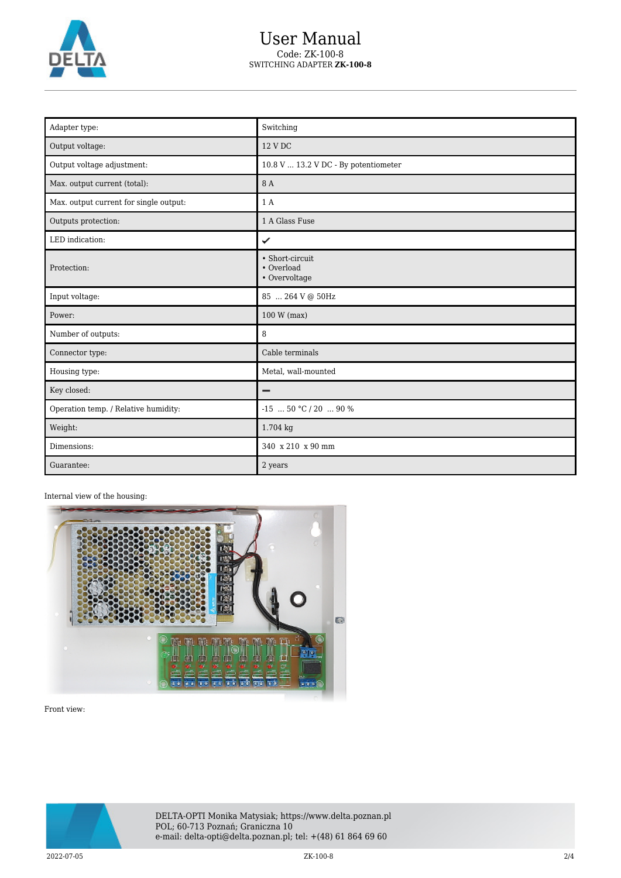

## User Manual Code: ZK-100-8 SWITCHING ADAPTER **ZK-100-8**

| Adapter type:                          | Switching                                      |
|----------------------------------------|------------------------------------------------|
| Output voltage:                        | 12 V DC                                        |
| Output voltage adjustment:             | 10.8 V  13.2 V DC - By potentiometer           |
| Max. output current (total):           | 8 A                                            |
| Max. output current for single output: | 1 A                                            |
| Outputs protection:                    | 1 A Glass Fuse                                 |
| LED indication:                        | ✓                                              |
| Protection:                            | • Short-circuit<br>• Overload<br>• Overvoltage |
| Input voltage:                         | 85  264 V @ 50Hz                               |
| Power:                                 | 100 W (max)                                    |
| Number of outputs:                     | 8                                              |
| Connector type:                        | Cable terminals                                |
| Housing type:                          | Metal, wall-mounted                            |
| Key closed:                            |                                                |
| Operation temp. / Relative humidity:   | $-15$ 50 °C / 20  90 %                         |
| Weight:                                | 1.704 kg                                       |
| Dimensions:                            | 340 x 210 x 90 mm                              |
| Guarantee:                             | 2 years                                        |

### Internal view of the housing:



Front view:



DELTA-OPTI Monika Matysiak; https://www.delta.poznan.pl POL; 60-713 Poznań; Graniczna 10 e-mail: delta-opti@delta.poznan.pl; tel: +(48) 61 864 69 60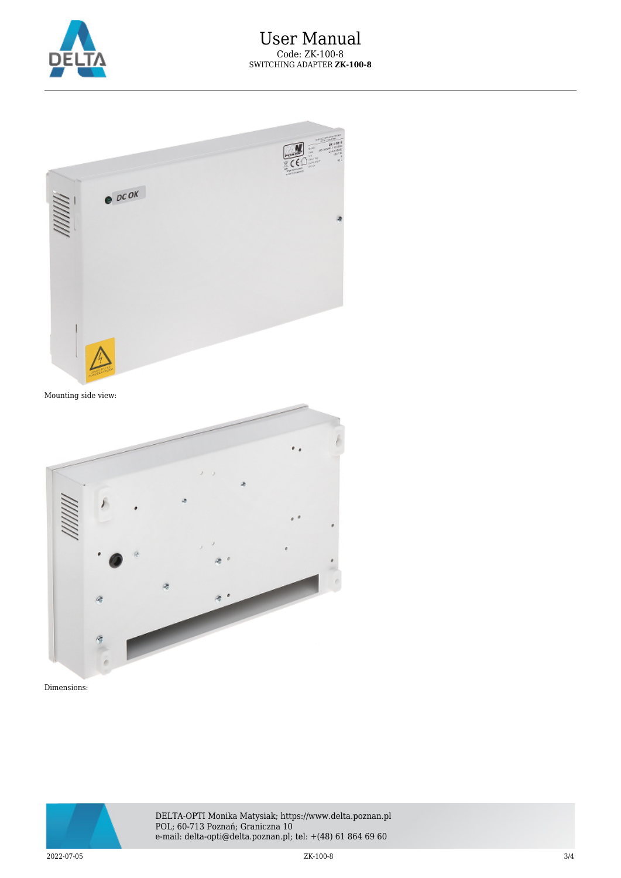



Dimensions:



DELTA-OPTI Monika Matysiak; https://www.delta.poznan.pl POL; 60-713 Poznań; Graniczna 10 e-mail: delta-opti@delta.poznan.pl; tel: +(48) 61 864 69 60

2022-07-05 ZK-100-8 3/4